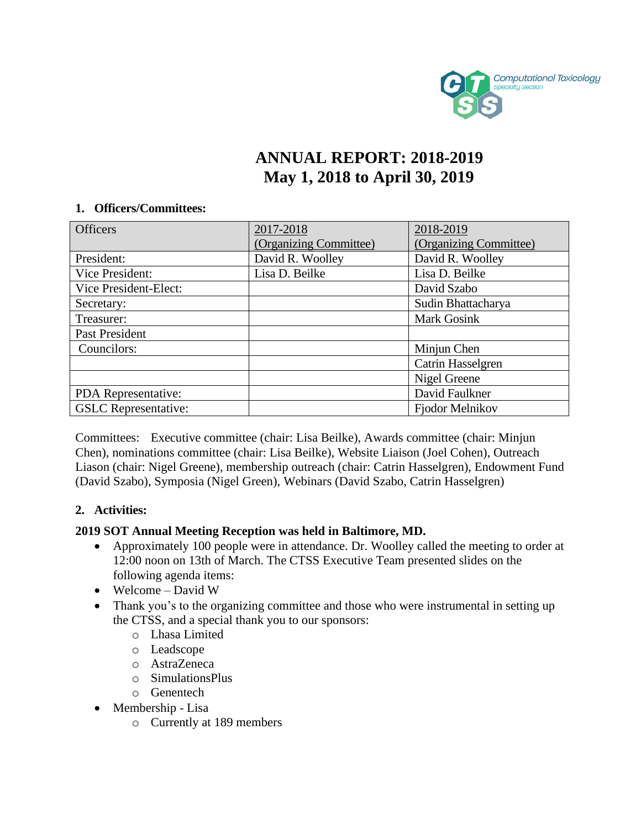

# **ANNUAL REPORT: 2018-2019 May 1, 2018 to April 30, 2019**

#### **1. Officers/Committees:**

| <b>Officers</b>             | 2017-2018              | 2018-2019              |
|-----------------------------|------------------------|------------------------|
|                             | (Organizing Committee) | (Organizing Committee) |
| President:                  | David R. Woolley       | David R. Woolley       |
| Vice President:             | Lisa D. Beilke         | Lisa D. Beilke         |
| Vice President-Elect:       |                        | David Szabo            |
| Secretary:                  |                        | Sudin Bhattacharya     |
| Treasurer:                  |                        | <b>Mark Gosink</b>     |
| Past President              |                        |                        |
| Councilors:                 |                        | Minjun Chen            |
|                             |                        | Catrin Hasselgren      |
|                             |                        | Nigel Greene           |
| PDA Representative:         |                        | David Faulkner         |
| <b>GSLC</b> Representative: |                        | Fjodor Melnikov        |

Committees: Executive committee (chair: Lisa Beilke), Awards committee (chair: Minjun Chen), nominations committee (chair: Lisa Beilke), Website Liaison (Joel Cohen), Outreach Liason (chair: Nigel Greene), membership outreach (chair: Catrin Hasselgren), Endowment Fund (David Szabo), Symposia (Nigel Green), Webinars (David Szabo, Catrin Hasselgren)

### **2. Activities:**

### **2019 SOT Annual Meeting Reception was held in Baltimore, MD.**

- Approximately 100 people were in attendance. Dr. Woolley called the meeting to order at 12:00 noon on 13th of March. The CTSS Executive Team presented slides on the following agenda items:
- Welcome David W
- Thank you's to the organizing committee and those who were instrumental in setting up the CTSS, and a special thank you to our sponsors:
	- o Lhasa Limited
	- o Leadscope
	- o AstraZeneca
	- o SimulationsPlus
	- o Genentech
- Membership Lisa
	- o Currently at 189 members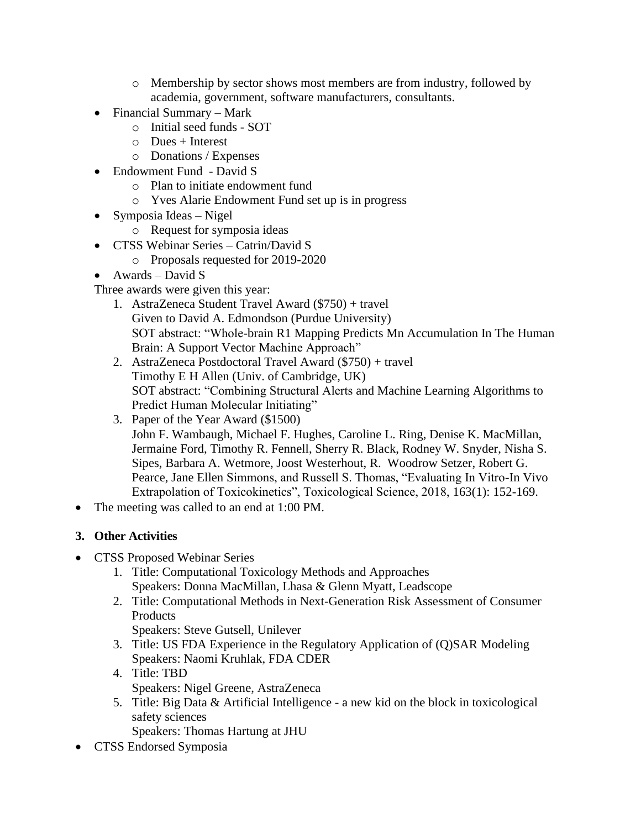- o Membership by sector shows most members are from industry, followed by academia, government, software manufacturers, consultants.
- Financial Summary Mark
	- o Initial seed funds SOT
	- $\circ$  Dues + Interest
	- o Donations / Expenses
- Endowment Fund David S
	- o Plan to initiate endowment fund
	- o Yves Alarie Endowment Fund set up is in progress
- Symposia Ideas Nigel
	- o Request for symposia ideas
- CTSS Webinar Series Catrin/David S
	- o Proposals requested for 2019-2020
- Awards David S
- Three awards were given this year:
	- 1. AstraZeneca Student Travel Award (\$750) + travel Given to David A. Edmondson (Purdue University) SOT abstract: "Whole-brain R1 Mapping Predicts Mn Accumulation In The Human Brain: A Support Vector Machine Approach"
	- 2. AstraZeneca Postdoctoral Travel Award (\$750) + travel Timothy E H Allen (Univ. of Cambridge, UK) SOT abstract: "Combining Structural Alerts and Machine Learning Algorithms to Predict Human Molecular Initiating"
	- 3. Paper of the Year Award (\$1500) John F. Wambaugh, Michael F. Hughes, Caroline L. Ring, Denise K. MacMillan, Jermaine Ford, Timothy R. Fennell, Sherry R. Black, Rodney W. Snyder, Nisha S. Sipes, Barbara A. Wetmore, Joost Westerhout, R. Woodrow Setzer, Robert G. Pearce, Jane Ellen Simmons, and Russell S. Thomas, "Evaluating In Vitro-In Vivo Extrapolation of Toxicokinetics", Toxicological Science, 2018, 163(1): 152-169.
- The meeting was called to an end at 1:00 PM.

## **3. Other Activities**

- CTSS Proposed Webinar Series
	- 1. Title: Computational Toxicology Methods and Approaches Speakers: Donna MacMillan, Lhasa & Glenn Myatt, Leadscope
	- 2. Title: Computational Methods in Next-Generation Risk Assessment of Consumer **Products** 
		- Speakers: Steve Gutsell, Unilever
	- 3. Title: US FDA Experience in the Regulatory Application of (Q)SAR Modeling Speakers: Naomi Kruhlak, FDA CDER
	- 4. Title: TBD Speakers: Nigel Greene, AstraZeneca
	- 5. Title: Big Data & Artificial Intelligence a new kid on the block in toxicological safety sciences
		- Speakers: Thomas Hartung at JHU
- CTSS Endorsed Symposia